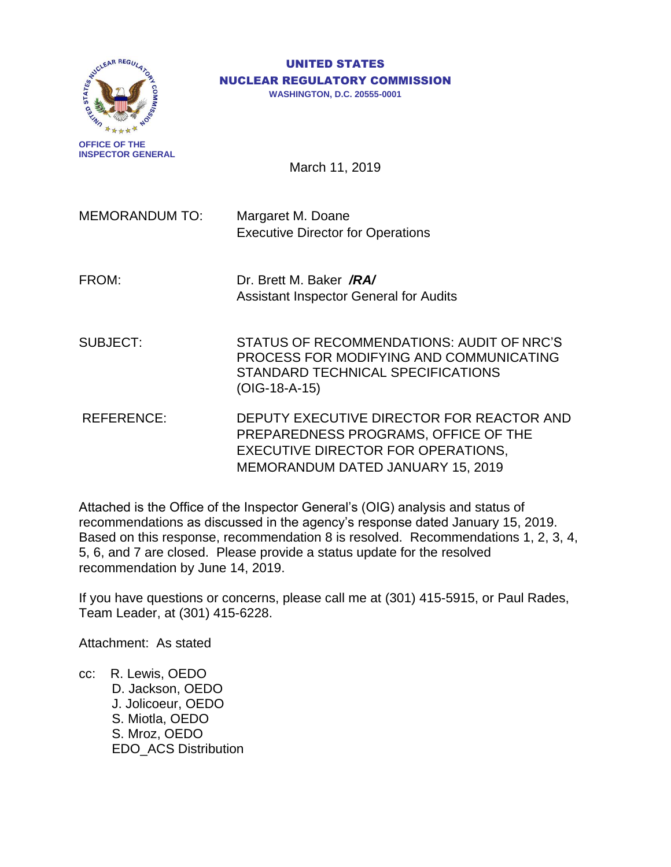

**INSPECTOR GENERAL**

#### UNITED STATES NUCLEAR REGULATORY COMMISSION

**WASHINGTON, D.C. 20555-0001**

March 11, 2019

MEMORANDUM TO: Margaret M. Doane Executive Director for Operations

FROM: Dr. Brett M. Baker */RA/* Assistant Inspector General for Audits

SUBJECT: STATUS OF RECOMMENDATIONS: AUDIT OF NRC'S PROCESS FOR MODIFYING AND COMMUNICATING STANDARD TECHNICAL SPECIFICATIONS (OIG-18-A-15)

REFERENCE: DEPUTY EXECUTIVE DIRECTOR FOR REACTOR AND PREPAREDNESS PROGRAMS, OFFICE OF THE EXECUTIVE DIRECTOR FOR OPERATIONS, MEMORANDUM DATED JANUARY 15, 2019

Attached is the Office of the Inspector General's (OIG) analysis and status of recommendations as discussed in the agency's response dated January 15, 2019. Based on this response, recommendation 8 is resolved. Recommendations 1, 2, 3, 4, 5, 6, and 7 are closed. Please provide a status update for the resolved recommendation by June 14, 2019.

If you have questions or concerns, please call me at (301) 415-5915, or Paul Rades, Team Leader, at (301) 415-6228.

Attachment: As stated

cc: R. Lewis, OEDO D. Jackson, OEDO J. Jolicoeur, OEDO S. Miotla, OEDO S. Mroz, OEDO EDO\_ACS Distribution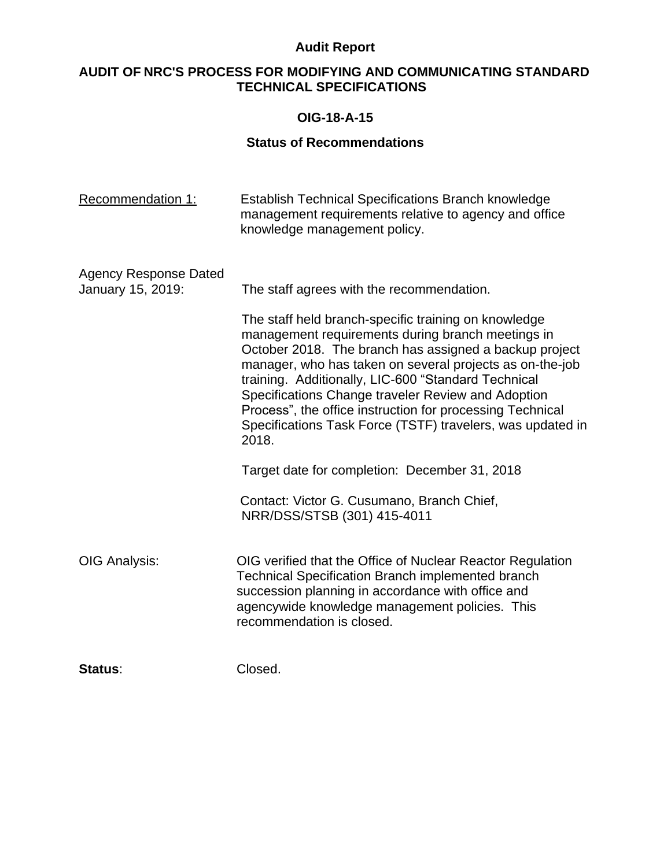# **AUDIT OF NRC'S PROCESS FOR MODIFYING AND COMMUNICATING STANDARD TECHNICAL SPECIFICATIONS**

### **OIG-18-A-15**

| <b>Recommendation 1:</b>                          | <b>Establish Technical Specifications Branch knowledge</b><br>management requirements relative to agency and office<br>knowledge management policy.                                                                                                                                                                                                                                                                                                                                                                           |
|---------------------------------------------------|-------------------------------------------------------------------------------------------------------------------------------------------------------------------------------------------------------------------------------------------------------------------------------------------------------------------------------------------------------------------------------------------------------------------------------------------------------------------------------------------------------------------------------|
| <b>Agency Response Dated</b><br>January 15, 2019: | The staff agrees with the recommendation.<br>The staff held branch-specific training on knowledge<br>management requirements during branch meetings in<br>October 2018. The branch has assigned a backup project<br>manager, who has taken on several projects as on-the-job<br>training. Additionally, LIC-600 "Standard Technical<br>Specifications Change traveler Review and Adoption<br>Process", the office instruction for processing Technical<br>Specifications Task Force (TSTF) travelers, was updated in<br>2018. |
|                                                   | Target date for completion: December 31, 2018<br>Contact: Victor G. Cusumano, Branch Chief,<br>NRR/DSS/STSB (301) 415-4011                                                                                                                                                                                                                                                                                                                                                                                                    |
| <b>OIG Analysis:</b>                              | OIG verified that the Office of Nuclear Reactor Regulation<br><b>Technical Specification Branch implemented branch</b><br>succession planning in accordance with office and<br>agencywide knowledge management policies. This<br>recommendation is closed.                                                                                                                                                                                                                                                                    |
| Status:                                           | Closed.                                                                                                                                                                                                                                                                                                                                                                                                                                                                                                                       |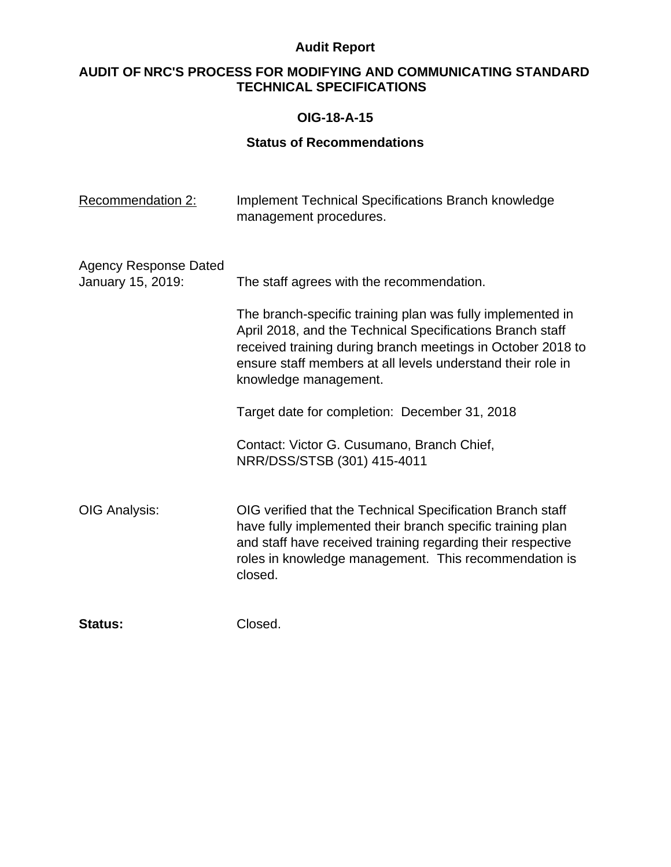# **AUDIT OF NRC'S PROCESS FOR MODIFYING AND COMMUNICATING STANDARD TECHNICAL SPECIFICATIONS**

### **OIG-18-A-15**

| <b>Recommendation 2:</b>                          | <b>Implement Technical Specifications Branch knowledge</b><br>management procedures.                                                                                                                                                                                           |
|---------------------------------------------------|--------------------------------------------------------------------------------------------------------------------------------------------------------------------------------------------------------------------------------------------------------------------------------|
| <b>Agency Response Dated</b><br>January 15, 2019: | The staff agrees with the recommendation.                                                                                                                                                                                                                                      |
|                                                   | The branch-specific training plan was fully implemented in<br>April 2018, and the Technical Specifications Branch staff<br>received training during branch meetings in October 2018 to<br>ensure staff members at all levels understand their role in<br>knowledge management. |
|                                                   | Target date for completion: December 31, 2018                                                                                                                                                                                                                                  |
|                                                   | Contact: Victor G. Cusumano, Branch Chief,<br>NRR/DSS/STSB (301) 415-4011                                                                                                                                                                                                      |
| <b>OIG Analysis:</b>                              | OIG verified that the Technical Specification Branch staff<br>have fully implemented their branch specific training plan<br>and staff have received training regarding their respective<br>roles in knowledge management. This recommendation is<br>closed.                    |
| <b>Status:</b>                                    | Closed.                                                                                                                                                                                                                                                                        |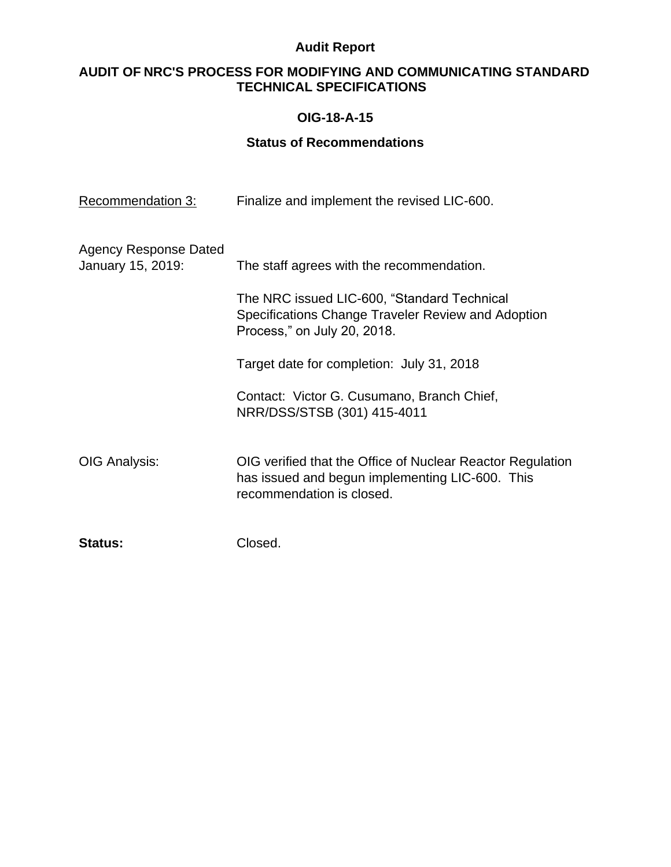# **AUDIT OF NRC'S PROCESS FOR MODIFYING AND COMMUNICATING STANDARD TECHNICAL SPECIFICATIONS**

## **OIG-18-A-15**

| <b>Recommendation 3:</b>                   | Finalize and implement the revised LIC-600.                                                                                                |
|--------------------------------------------|--------------------------------------------------------------------------------------------------------------------------------------------|
| Agency Response Dated<br>January 15, 2019: | The staff agrees with the recommendation.                                                                                                  |
|                                            | The NRC issued LIC-600, "Standard Technical<br>Specifications Change Traveler Review and Adoption<br>Process," on July 20, 2018.           |
|                                            | Target date for completion: July 31, 2018                                                                                                  |
|                                            | Contact: Victor G. Cusumano, Branch Chief,<br>NRR/DSS/STSB (301) 415-4011                                                                  |
| OIG Analysis:                              | OIG verified that the Office of Nuclear Reactor Regulation<br>has issued and begun implementing LIC-600. This<br>recommendation is closed. |
| <b>Status:</b>                             | Closed.                                                                                                                                    |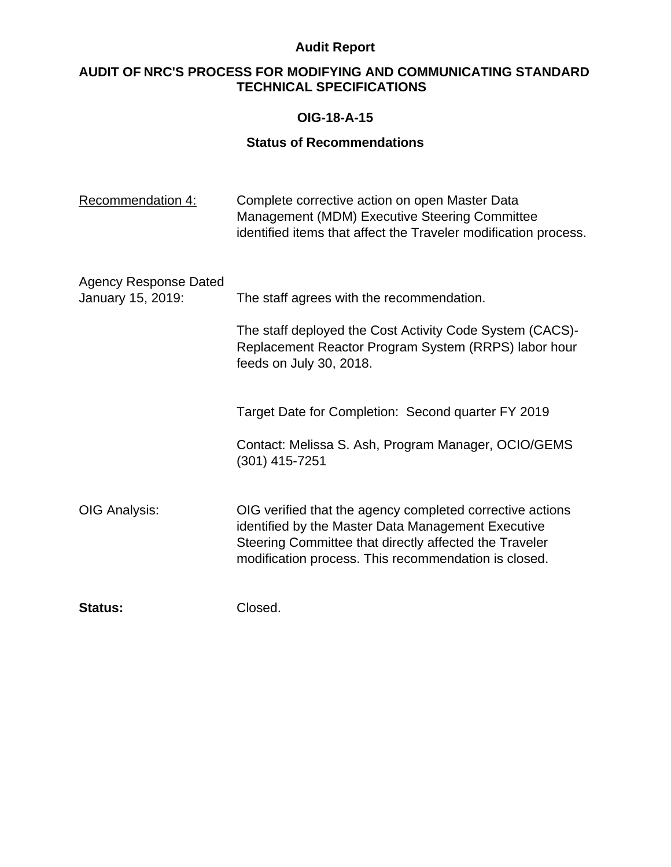# **AUDIT OF NRC'S PROCESS FOR MODIFYING AND COMMUNICATING STANDARD TECHNICAL SPECIFICATIONS**

### **OIG-18-A-15**

| <b>Recommendation 4:</b>                          | Complete corrective action on open Master Data<br>Management (MDM) Executive Steering Committee<br>identified items that affect the Traveler modification process.                                                                |
|---------------------------------------------------|-----------------------------------------------------------------------------------------------------------------------------------------------------------------------------------------------------------------------------------|
| <b>Agency Response Dated</b><br>January 15, 2019: | The staff agrees with the recommendation.<br>The staff deployed the Cost Activity Code System (CACS)-<br>Replacement Reactor Program System (RRPS) labor hour<br>feeds on July 30, 2018.                                          |
|                                                   | Target Date for Completion: Second quarter FY 2019<br>Contact: Melissa S. Ash, Program Manager, OCIO/GEMS<br>$(301)$ 415-7251                                                                                                     |
| <b>OIG Analysis:</b>                              | OIG verified that the agency completed corrective actions<br>identified by the Master Data Management Executive<br>Steering Committee that directly affected the Traveler<br>modification process. This recommendation is closed. |
| <b>Status:</b>                                    | Closed.                                                                                                                                                                                                                           |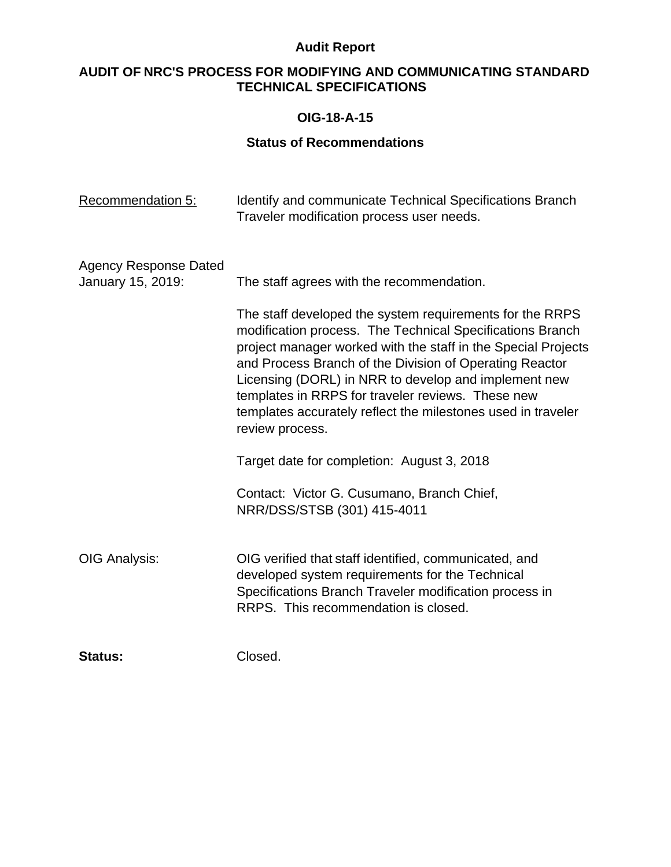# **AUDIT OF NRC'S PROCESS FOR MODIFYING AND COMMUNICATING STANDARD TECHNICAL SPECIFICATIONS**

### **OIG-18-A-15**

| Recommendation 5:                                 | Identify and communicate Technical Specifications Branch<br>Traveler modification process user needs.                                                                                                                                                                                                                                                                                                                                             |
|---------------------------------------------------|---------------------------------------------------------------------------------------------------------------------------------------------------------------------------------------------------------------------------------------------------------------------------------------------------------------------------------------------------------------------------------------------------------------------------------------------------|
| <b>Agency Response Dated</b><br>January 15, 2019: | The staff agrees with the recommendation.                                                                                                                                                                                                                                                                                                                                                                                                         |
|                                                   | The staff developed the system requirements for the RRPS<br>modification process. The Technical Specifications Branch<br>project manager worked with the staff in the Special Projects<br>and Process Branch of the Division of Operating Reactor<br>Licensing (DORL) in NRR to develop and implement new<br>templates in RRPS for traveler reviews. These new<br>templates accurately reflect the milestones used in traveler<br>review process. |
|                                                   | Target date for completion: August 3, 2018                                                                                                                                                                                                                                                                                                                                                                                                        |
|                                                   | Contact: Victor G. Cusumano, Branch Chief,<br>NRR/DSS/STSB (301) 415-4011                                                                                                                                                                                                                                                                                                                                                                         |
| OIG Analysis:                                     | OIG verified that staff identified, communicated, and<br>developed system requirements for the Technical<br>Specifications Branch Traveler modification process in<br>RRPS. This recommendation is closed.                                                                                                                                                                                                                                        |
| <b>Status:</b>                                    | Closed.                                                                                                                                                                                                                                                                                                                                                                                                                                           |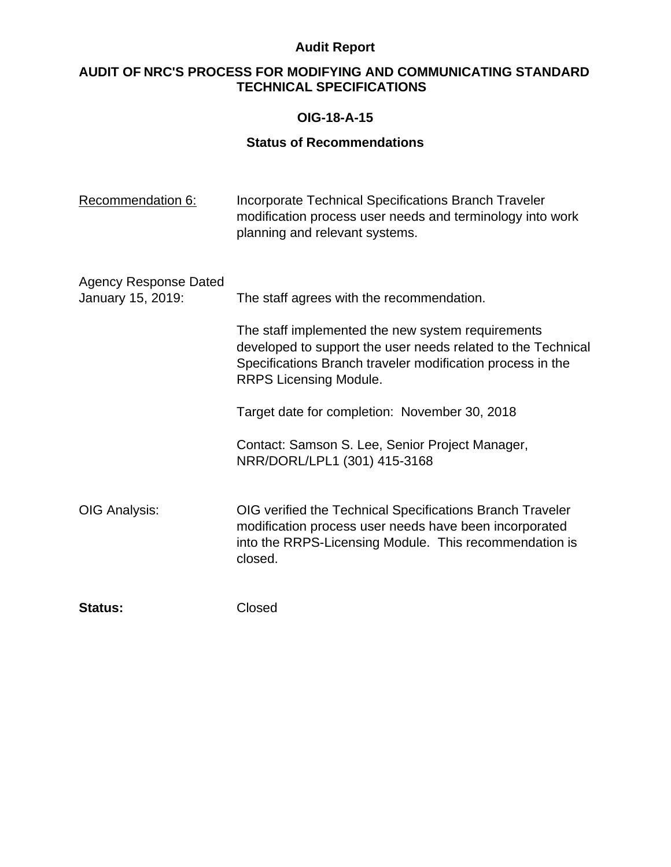# **AUDIT OF NRC'S PROCESS FOR MODIFYING AND COMMUNICATING STANDARD TECHNICAL SPECIFICATIONS**

### **OIG-18-A-15**

| Recommendation 6:                                 | <b>Incorporate Technical Specifications Branch Traveler</b><br>modification process user needs and terminology into work<br>planning and relevant systems.                                                       |
|---------------------------------------------------|------------------------------------------------------------------------------------------------------------------------------------------------------------------------------------------------------------------|
| <b>Agency Response Dated</b><br>January 15, 2019: | The staff agrees with the recommendation.                                                                                                                                                                        |
|                                                   | The staff implemented the new system requirements<br>developed to support the user needs related to the Technical<br>Specifications Branch traveler modification process in the<br><b>RRPS Licensing Module.</b> |
|                                                   | Target date for completion: November 30, 2018                                                                                                                                                                    |
|                                                   | Contact: Samson S. Lee, Senior Project Manager,<br>NRR/DORL/LPL1 (301) 415-3168                                                                                                                                  |
| OIG Analysis:                                     | OIG verified the Technical Specifications Branch Traveler<br>modification process user needs have been incorporated<br>into the RRPS-Licensing Module. This recommendation is<br>closed.                         |
| <b>Status:</b>                                    | Closed                                                                                                                                                                                                           |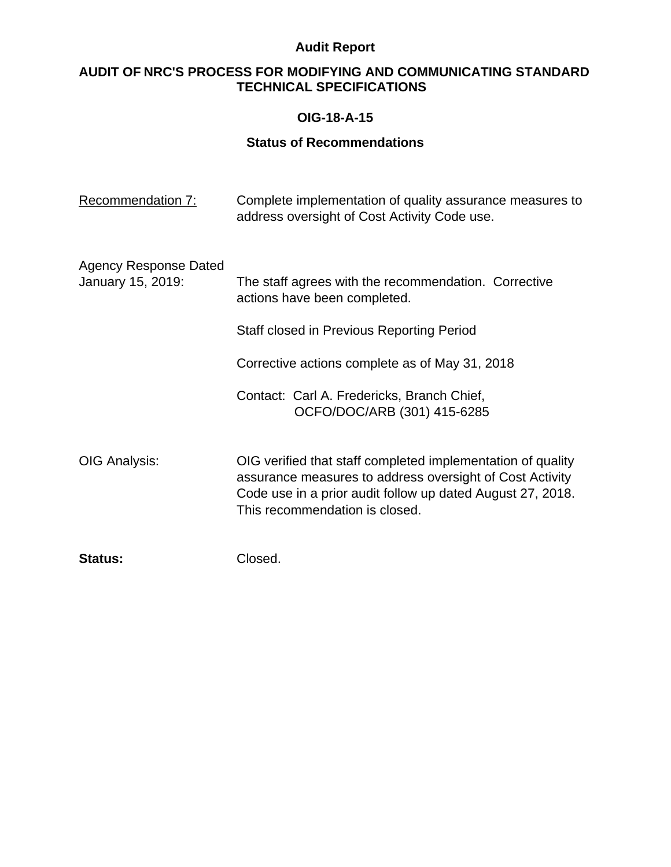# **AUDIT OF NRC'S PROCESS FOR MODIFYING AND COMMUNICATING STANDARD TECHNICAL SPECIFICATIONS**

## **OIG-18-A-15**

| Recommendation 7:                                 | Complete implementation of quality assurance measures to<br>address oversight of Cost Activity Code use.                                                                                                                                                         |
|---------------------------------------------------|------------------------------------------------------------------------------------------------------------------------------------------------------------------------------------------------------------------------------------------------------------------|
| <b>Agency Response Dated</b><br>January 15, 2019: | The staff agrees with the recommendation. Corrective<br>actions have been completed.<br>Staff closed in Previous Reporting Period<br>Corrective actions complete as of May 31, 2018<br>Contact: Carl A. Fredericks, Branch Chief,<br>OCFO/DOC/ARB (301) 415-6285 |
| OIG Analysis:                                     | OIG verified that staff completed implementation of quality<br>assurance measures to address oversight of Cost Activity<br>Code use in a prior audit follow up dated August 27, 2018.<br>This recommendation is closed.                                          |
| <b>Status:</b>                                    | Closed.                                                                                                                                                                                                                                                          |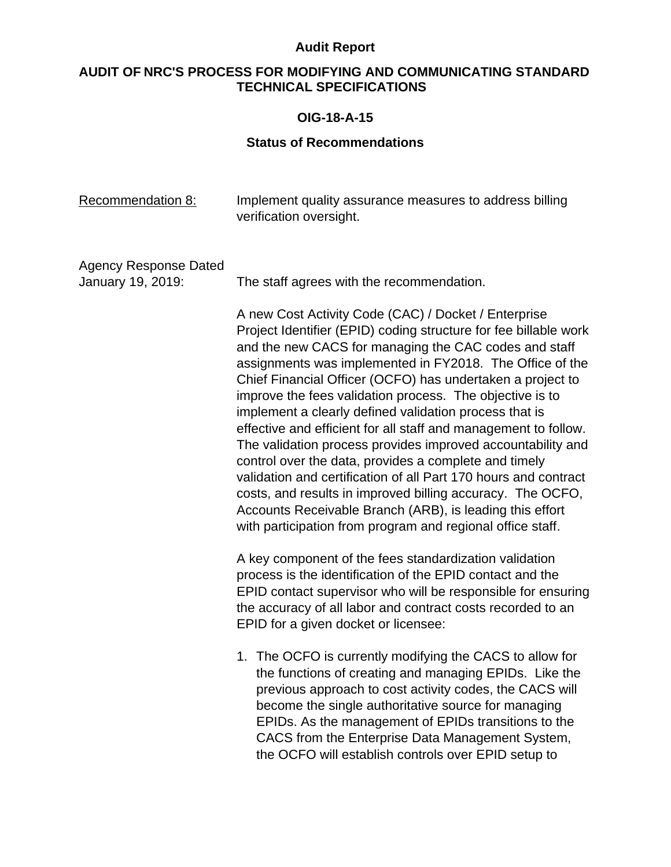# **AUDIT OF NRC'S PROCESS FOR MODIFYING AND COMMUNICATING STANDARD TECHNICAL SPECIFICATIONS**

## **OIG-18-A-15**

| Recommendation 8:                                 | Implement quality assurance measures to address billing<br>verification oversight.                                                                                                                                                                                                                                                                                                                                                                                                                                                                                                                                                                                                                                                                                                                                                                                                      |
|---------------------------------------------------|-----------------------------------------------------------------------------------------------------------------------------------------------------------------------------------------------------------------------------------------------------------------------------------------------------------------------------------------------------------------------------------------------------------------------------------------------------------------------------------------------------------------------------------------------------------------------------------------------------------------------------------------------------------------------------------------------------------------------------------------------------------------------------------------------------------------------------------------------------------------------------------------|
| <b>Agency Response Dated</b><br>January 19, 2019: | The staff agrees with the recommendation.                                                                                                                                                                                                                                                                                                                                                                                                                                                                                                                                                                                                                                                                                                                                                                                                                                               |
|                                                   | A new Cost Activity Code (CAC) / Docket / Enterprise<br>Project Identifier (EPID) coding structure for fee billable work<br>and the new CACS for managing the CAC codes and staff<br>assignments was implemented in FY2018. The Office of the<br>Chief Financial Officer (OCFO) has undertaken a project to<br>improve the fees validation process. The objective is to<br>implement a clearly defined validation process that is<br>effective and efficient for all staff and management to follow.<br>The validation process provides improved accountability and<br>control over the data, provides a complete and timely<br>validation and certification of all Part 170 hours and contract<br>costs, and results in improved billing accuracy. The OCFO,<br>Accounts Receivable Branch (ARB), is leading this effort<br>with participation from program and regional office staff. |
|                                                   | A key component of the fees standardization validation<br>process is the identification of the EPID contact and the<br>EPID contact supervisor who will be responsible for ensuring<br>the accuracy of all labor and contract costs recorded to an<br>EPID for a given docket or licensee:                                                                                                                                                                                                                                                                                                                                                                                                                                                                                                                                                                                              |
|                                                   | 1. The OCFO is currently modifying the CACS to allow for<br>the functions of creating and managing EPIDs. Like the<br>previous approach to cost activity codes, the CACS will<br>become the single authoritative source for managing<br>EPIDs. As the management of EPIDs transitions to the<br>CACS from the Enterprise Data Management System,<br>the OCFO will establish controls over EPID setup to                                                                                                                                                                                                                                                                                                                                                                                                                                                                                 |